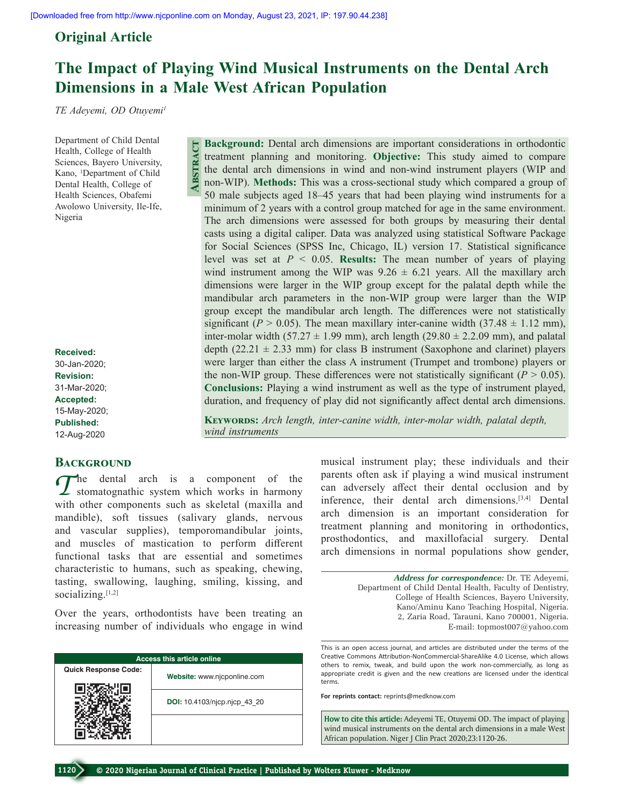**Abstract**

## **Original Article**

## **The Impact of Playing Wind Musical Instruments on the Dental Arch Dimensions in a Male West African Population**

*TE Adeyemi, OD Otuyemi1*

Department of Child Dental Health, College of Health Sciences, Bayero University, Kano, 1 Department of Child Dental Health, College of Health Sciences, Obafemi Awolowo University, Ile‑Ife, Nigeria

**Received:** 30-Jan-2020; **Revision:** 31-Mar-2020; **Accepted:** 15-May-2020; **Published:** 12-Aug-2020

## **BACKGROUND**

*T*he dental arch is a component of the stomatognathic system which works in harmony with other components such as skeletal (maxilla and mandible), soft tissues (salivary glands, nervous and vascular supplies), temporomandibular joints, and muscles of mastication to perform different functional tasks that are essential and sometimes characteristic to humans, such as speaking, chewing, tasting, swallowing, laughing, smiling, kissing, and socializing.[1,2]

Over the years, orthodontists have been treating an increasing number of individuals who engage in wind

| <b>Access this article online</b> |                              |  |  |  |  |  |  |  |  |
|-----------------------------------|------------------------------|--|--|--|--|--|--|--|--|
| <b>Quick Response Code:</b>       | Website: www.njcponline.com  |  |  |  |  |  |  |  |  |
|                                   | DOI: 10.4103/njcp.njcp 43 20 |  |  |  |  |  |  |  |  |
|                                   |                              |  |  |  |  |  |  |  |  |

**Background:** Dental arch dimensions are important considerations in orthodontic treatment planning and monitoring. **Objective:** This study aimed to compare the dental arch dimensions in wind and non‑wind instrument players (WIP and non‑WIP). **Methods:** This was a cross‑sectional study which compared a group of 50 male subjects aged 18–45 years that had been playing wind instruments for a minimum of 2 years with a control group matched for age in the same environment. The arch dimensions were assessed for both groups by measuring their dental casts using a digital caliper. Data was analyzed using statistical Software Package for Social Sciences (SPSS Inc, Chicago, IL) version 17. Statistical significance level was set at  $P < 0.05$ . **Results:** The mean number of years of playing wind instrument among the WIP was  $9.26 \pm 6.21$  years. All the maxillary arch dimensions were larger in the WIP group except for the palatal depth while the mandibular arch parameters in the non‑WIP group were larger than the WIP group except the mandibular arch length. The differences were not statistically significant ( $P > 0.05$ ). The mean maxillary inter-canine width (37.48  $\pm$  1.12 mm), inter-molar width (57.27  $\pm$  1.99 mm), arch length (29.80  $\pm$  2.2.09 mm), and palatal depth  $(22.21 \pm 2.33 \text{ mm})$  for class B instrument (Saxophone and clarinet) players were larger than either the class A instrument (Trumpet and trombone) players or the non-WIP group. These differences were not statistically significant  $(P > 0.05)$ . **Conclusions:** Playing a wind instrument as well as the type of instrument played, duration, and frequency of play did not significantly affect dental arch dimensions.

**KEYWORDS:** Arch length, inter-canine width, inter-molar width, palatal depth, *wind instruments*

> musical instrument play; these individuals and their parents often ask if playing a wind musical instrument can adversely affect their dental occlusion and by inference, their dental arch dimensions.[3,4] Dental arch dimension is an important consideration for treatment planning and monitoring in orthodontics, prosthodontics, and maxillofacial surgery. Dental arch dimensions in normal populations show gender,

> > *Address for correspondence:* Dr. TE Adeyemi, Department of Child Dental Health, Faculty of Dentistry, College of Health Sciences, Bayero University, Kano/Aminu Kano Teaching Hospital, Nigeria. 2, Zaria Road, Tarauni, Kano 700001, Nigeria. E‑mail: topmost007@yahoo.com

This is an open access journal, and articles are distributed under the terms of the Creative Commons Attribution‑NonCommercial‑ShareAlike 4.0 License, which allows others to remix, tweak, and build upon the work non‑commercially, as long as appropriate credit is given and the new creations are licensed under the identical terms.

**For reprints contact:** reprints@medknow.com

**How to cite this article:** Adeyemi TE, Otuyemi OD. The impact of playing wind musical instruments on the dental arch dimensions in a male West African population. Niger J Clin Pract 2020;23:1120-26.

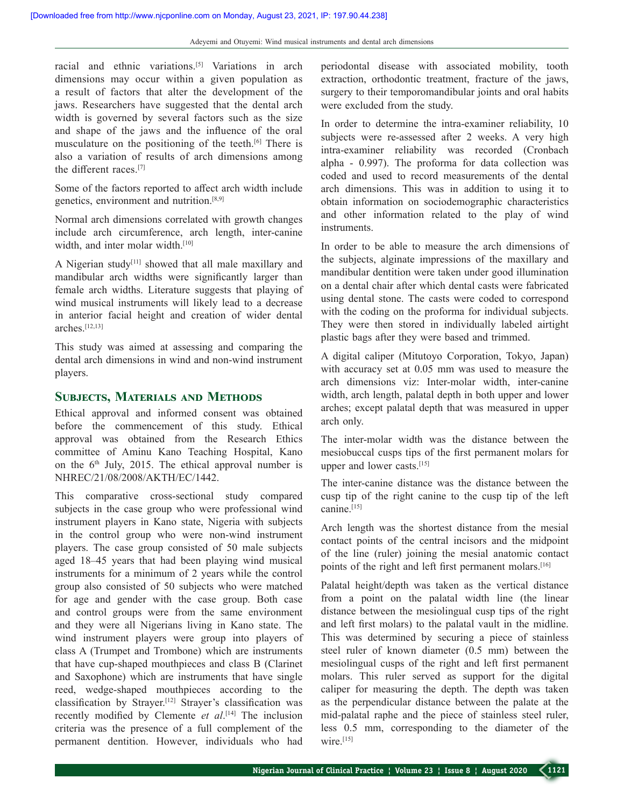racial and ethnic variations.[5] Variations in arch dimensions may occur within a given population as a result of factors that alter the development of the jaws. Researchers have suggested that the dental arch width is governed by several factors such as the size and shape of the jaws and the influence of the oral musculature on the positioning of the teeth.<sup>[6]</sup> There is also a variation of results of arch dimensions among the different races.[7]

Some of the factors reported to affect arch width include genetics, environment and nutrition.[8,9]

Normal arch dimensions correlated with growth changes include arch circumference, arch length, inter-canine width, and inter molar width.<sup>[10]</sup>

A Nigerian study[11] showed that all male maxillary and mandibular arch widths were significantly larger than female arch widths. Literature suggests that playing of wind musical instruments will likely lead to a decrease in anterior facial height and creation of wider dental arches $[12,13]$ 

This study was aimed at assessing and comparing the dental arch dimensions in wind and non‑wind instrument players.

## **Subjects, Materials and Methods**

Ethical approval and informed consent was obtained before the commencement of this study. Ethical approval was obtained from the Research Ethics committee of Aminu Kano Teaching Hospital, Kano on the  $6<sup>th</sup>$  July, 2015. The ethical approval number is NHREC/21/08/2008/AKTH/EC/1442.

This comparative cross-sectional study compared subjects in the case group who were professional wind instrument players in Kano state, Nigeria with subjects in the control group who were non-wind instrument players. The case group consisted of 50 male subjects aged 18–45 years that had been playing wind musical instruments for a minimum of 2 years while the control group also consisted of 50 subjects who were matched for age and gender with the case group. Both case and control groups were from the same environment and they were all Nigerians living in Kano state. The wind instrument players were group into players of class A (Trumpet and Trombone) which are instruments that have cup‑shaped mouthpieces and class B (Clarinet and Saxophone) which are instruments that have single reed, wedge‑shaped mouthpieces according to the classification by Strayer.[12] Strayer's classification was recently modified by Clemente *et al*. [14] The inclusion criteria was the presence of a full complement of the permanent dentition. However, individuals who had

periodontal disease with associated mobility, tooth extraction, orthodontic treatment, fracture of the jaws, surgery to their temporomandibular joints and oral habits were excluded from the study.

In order to determine the intra-examiner reliability, 10 subjects were re-assessed after 2 weeks. A very high intra‑examiner reliability was recorded (Cronbach alpha ‑ 0.997). The proforma for data collection was coded and used to record measurements of the dental arch dimensions. This was in addition to using it to obtain information on sociodemographic characteristics and other information related to the play of wind instruments.

In order to be able to measure the arch dimensions of the subjects, alginate impressions of the maxillary and mandibular dentition were taken under good illumination on a dental chair after which dental casts were fabricated using dental stone. The casts were coded to correspond with the coding on the proforma for individual subjects. They were then stored in individually labeled airtight plastic bags after they were based and trimmed.

A digital caliper (Mitutoyo Corporation, Tokyo, Japan) with accuracy set at 0.05 mm was used to measure the arch dimensions viz: Inter-molar width, inter-canine width, arch length, palatal depth in both upper and lower arches; except palatal depth that was measured in upper arch only.

The inter-molar width was the distance between the mesiobuccal cusps tips of the first permanent molars for upper and lower casts.[15]

The inter-canine distance was the distance between the cusp tip of the right canine to the cusp tip of the left canine.<sup>[15]</sup>

Arch length was the shortest distance from the mesial contact points of the central incisors and the midpoint of the line (ruler) joining the mesial anatomic contact points of the right and left first permanent molars.<sup>[16]</sup>

Palatal height/depth was taken as the vertical distance from a point on the palatal width line (the linear distance between the mesiolingual cusp tips of the right and left first molars) to the palatal vault in the midline. This was determined by securing a piece of stainless steel ruler of known diameter (0.5 mm) between the mesiolingual cusps of the right and left first permanent molars. This ruler served as support for the digital caliper for measuring the depth. The depth was taken as the perpendicular distance between the palate at the mid‑palatal raphe and the piece of stainless steel ruler, less 0.5 mm, corresponding to the diameter of the wire. $[15]$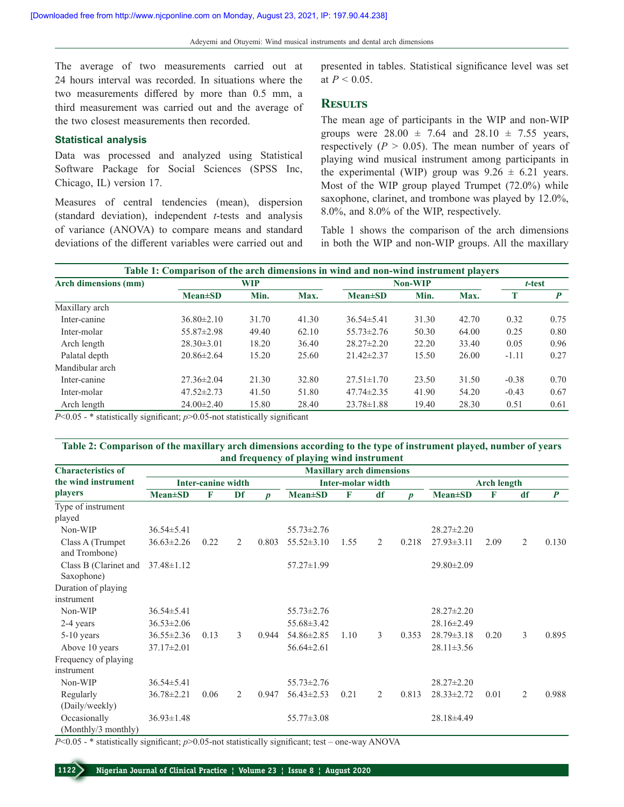The average of two measurements carried out at 24 hours interval was recorded. In situations where the two measurements differed by more than 0.5 mm, a third measurement was carried out and the average of the two closest measurements then recorded.

## **Statistical analysis**

Data was processed and analyzed using Statistical Software Package for Social Sciences (SPSS Inc, Chicago, IL) version 17.

Measures of central tendencies (mean), dispersion (standard deviation), independent *t*‑tests and analysis of variance (ANOVA) to compare means and standard deviations of the different variables were carried out and presented in tables. Statistical significance level was set at  $P < 0.05$ .

### **Results**

The mean age of participants in the WIP and non‑WIP groups were  $28.00 \pm 7.64$  and  $28.10 \pm 7.55$  years, respectively ( $P > 0.05$ ). The mean number of years of playing wind musical instrument among participants in the experimental (WIP) group was  $9.26 \pm 6.21$  years. Most of the WIP group played Trumpet (72.0%) while saxophone, clarinet, and trombone was played by 12.0%, 8.0%, and 8.0% of the WIP, respectively.

Table 1 shows the comparison of the arch dimensions in both the WIP and non-WIP groups. All the maxillary

| Table 1: Comparison of the arch dimensions in wind and non-wind instrument players |                  |            |       |                  |        |       |         |      |  |  |  |  |
|------------------------------------------------------------------------------------|------------------|------------|-------|------------------|--------|-------|---------|------|--|--|--|--|
| Arch dimensions (mm)                                                               |                  | <b>WIP</b> |       | <b>Non-WIP</b>   | t-test |       |         |      |  |  |  |  |
|                                                                                    | $Mean \pm SD$    | Min.       | Max.  | $Mean \pm SD$    | Min.   | Max.  | T       | P    |  |  |  |  |
| Maxillary arch                                                                     |                  |            |       |                  |        |       |         |      |  |  |  |  |
| Inter-canine                                                                       | $36.80\pm2.10$   | 31.70      | 41.30 | $36.54\pm5.41$   | 31.30  | 42.70 | 0.32    | 0.75 |  |  |  |  |
| Inter-molar                                                                        | $55.87 \pm 2.98$ | 49.40      | 62.10 | $55.73 \pm 2.76$ | 50.30  | 64.00 | 0.25    | 0.80 |  |  |  |  |
| Arch length                                                                        | $28.30 \pm 3.01$ | 18.20      | 36.40 | $28.27 \pm 2.20$ | 22.20  | 33.40 | 0.05    | 0.96 |  |  |  |  |
| Palatal depth                                                                      | $20.86 \pm 2.64$ | 15.20      | 25.60 | $21.42 \pm 2.37$ | 15.50  | 26.00 | $-1.11$ | 0.27 |  |  |  |  |
| Mandibular arch                                                                    |                  |            |       |                  |        |       |         |      |  |  |  |  |
| Inter-canine                                                                       | $27.36 \pm 2.04$ | 21.30      | 32.80 | $27.51 \pm 1.70$ | 23.50  | 31.50 | $-0.38$ | 0.70 |  |  |  |  |
| Inter-molar                                                                        | $47.52 \pm 2.73$ | 41.50      | 51.80 | $47.74 \pm 2.35$ | 41.90  | 54.20 | $-0.43$ | 0.67 |  |  |  |  |
| Arch length                                                                        | $24.00 \pm 2.40$ | 15.80      | 28.40 | $23.78 \pm 1.88$ | 19.40  | 28.30 | 0.51    | 0.61 |  |  |  |  |

*P*<0.05 - \* statistically significant; *p*>0.05-not statistically significant

### **Table 2: Comparison of the maxillary arch dimensions according to the type of instrument played, number of years and frequency of playing wind instrument**

| <b>Characteristics of</b>           | <b>Maxillary arch dimensions</b> |      |    |                          |                  |              |    |                    |                  |      |    |                  |
|-------------------------------------|----------------------------------|------|----|--------------------------|------------------|--------------|----|--------------------|------------------|------|----|------------------|
| the wind instrument                 | <b>Inter-canine width</b>        |      |    | <b>Inter-molar width</b> |                  |              |    | <b>Arch length</b> |                  |      |    |                  |
| <i>players</i>                      | $Mean \pm SD$                    | F    | Df | D                        | <b>Mean±SD</b>   | $\mathbf{F}$ | df | $\boldsymbol{p}$   | $Mean \pm SD$    | F    | df | $\boldsymbol{P}$ |
| Type of instrument                  |                                  |      |    |                          |                  |              |    |                    |                  |      |    |                  |
| played                              |                                  |      |    |                          |                  |              |    |                    |                  |      |    |                  |
| Non-WIP                             | $36.54 \pm 5.41$                 |      |    |                          | $55.73 \pm 2.76$ |              |    |                    | $28.27 \pm 2.20$ |      |    |                  |
| Class A (Trumpet<br>and Trombone)   | $36.63 \pm 2.26$                 | 0.22 | 2  | 0.803                    | $55.52 \pm 3.10$ | 1.55         | 2  | 0.218              | $27.93 \pm 3.11$ | 2.09 | 2  | 0.130            |
| Class B (Clarinet and<br>Saxophone) | $37.48 \pm 1.12$                 |      |    |                          | 57.27±1.99       |              |    |                    | 29.80±2.09       |      |    |                  |
| Duration of playing                 |                                  |      |    |                          |                  |              |    |                    |                  |      |    |                  |
| instrument                          |                                  |      |    |                          |                  |              |    |                    |                  |      |    |                  |
| Non-WIP                             | $36.54 \pm 5.41$                 |      |    |                          | $55.73 \pm 2.76$ |              |    |                    | $28.27 \pm 2.20$ |      |    |                  |
| 2-4 years                           | $36.53 \pm 2.06$                 |      |    |                          | 55.68 ± 3.42     |              |    |                    | 28.16±2.49       |      |    |                  |
| $5-10$ years                        | $36.55 \pm 2.36$                 | 0.13 | 3  | 0.944                    | 54.86±2.85       | 1.10         | 3  | 0.353              | $28.79 \pm 3.18$ | 0.20 | 3  | 0.895            |
| Above 10 years                      | $37.17 \pm 2.01$                 |      |    |                          | $56.64 \pm 2.61$ |              |    |                    | $28.11 \pm 3.56$ |      |    |                  |
| Frequency of playing<br>instrument  |                                  |      |    |                          |                  |              |    |                    |                  |      |    |                  |
| Non-WIP                             | $36.54 \pm 5.41$                 |      |    |                          | $55.73 \pm 2.76$ |              |    |                    | $28.27 \pm 2.20$ |      |    |                  |
| Regularly<br>(Daily/weekly)         | $36.78 \pm 2.21$                 | 0.06 | 2  | 0.947                    | $56.43 \pm 2.53$ | 0.21         | 2  | 0.813              | $28.33 \pm 2.72$ | 0.01 | 2  | 0.988            |
| Occasionally<br>(Monthly/3 monthly) | $36.93 \pm 1.48$                 |      |    |                          | $55.77 \pm 3.08$ |              |    |                    | 28.18±4.49       |      |    |                  |

*P*<0.05 - \* statistically significant; *p*>0.05-not statistically significant; test – one-way ANOVA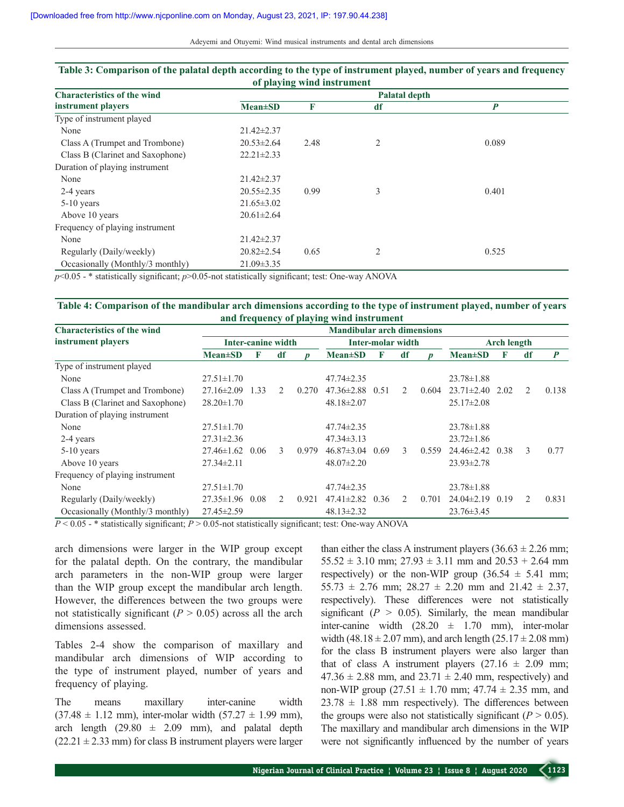Adeyemi and Otuyemi: Wind musical instruments and dental arch dimensions

| of playing wind instrument         |                      |      |    |                  |  |  |  |  |  |  |  |
|------------------------------------|----------------------|------|----|------------------|--|--|--|--|--|--|--|
| <b>Characteristics of the wind</b> | <b>Palatal depth</b> |      |    |                  |  |  |  |  |  |  |  |
| instrument players                 | <b>Mean</b> ±SD      | F    | df | $\boldsymbol{P}$ |  |  |  |  |  |  |  |
| Type of instrument played          |                      |      |    |                  |  |  |  |  |  |  |  |
| None                               | 21.42±2.37           |      |    |                  |  |  |  |  |  |  |  |
| Class A (Trumpet and Trombone)     | $20.53 \pm 2.64$     | 2.48 | 2  | 0.089            |  |  |  |  |  |  |  |
| Class B (Clarinet and Saxophone)   | $22.21 \pm 2.33$     |      |    |                  |  |  |  |  |  |  |  |
| Duration of playing instrument     |                      |      |    |                  |  |  |  |  |  |  |  |
| None                               | $21.42 \pm 2.37$     |      |    |                  |  |  |  |  |  |  |  |
| 2-4 years                          | $20.55 \pm 2.35$     | 0.99 | 3  | 0.401            |  |  |  |  |  |  |  |
| $5-10$ years                       | $21.65 \pm 3.02$     |      |    |                  |  |  |  |  |  |  |  |
| Above 10 years                     | $20.61 \pm 2.64$     |      |    |                  |  |  |  |  |  |  |  |
| Frequency of playing instrument    |                      |      |    |                  |  |  |  |  |  |  |  |
| None                               | $21.42 \pm 2.37$     |      |    |                  |  |  |  |  |  |  |  |
| Regularly (Daily/weekly)           | $20.82 \pm 2.54$     | 0.65 | 2  | 0.525            |  |  |  |  |  |  |  |
| Occasionally (Monthly/3 monthly)   | $21.09 \pm 3.35$     |      |    |                  |  |  |  |  |  |  |  |

# **Table 3: Comparison of the palatal depth according to the type of instrument played, number of years and frequency**

*p*<0.05 - \* statistically significant; *p*>0.05-not statistically significant; test: One-way ANOVA

### **Table 4: Comparison of the mandibular arch dimensions according to the type of instrument played, number of years and frequency of playing wind instrument**

| <b>Characteristics of the wind</b> | <b>Mandibular arch dimensions</b> |      |                             |                  |                  |      |                             |                  |                  |      |               |                  |
|------------------------------------|-----------------------------------|------|-----------------------------|------------------|------------------|------|-----------------------------|------------------|------------------|------|---------------|------------------|
| instrument players                 | <b>Inter-canine width</b>         |      | Inter-molar width           |                  |                  |      | <b>Arch length</b>          |                  |                  |      |               |                  |
|                                    | $Mean \pm SD$                     | F    | df                          | $\boldsymbol{D}$ | $Mean \pm SD$    | F    | df                          | $\boldsymbol{D}$ | $Mean \pm SD$    | F    | df            | $\boldsymbol{P}$ |
| Type of instrument played          |                                   |      |                             |                  |                  |      |                             |                  |                  |      |               |                  |
| None                               | $27.51 \pm 1.70$                  |      |                             |                  | $47.74 \pm 2.35$ |      |                             |                  | $23.78 \pm 1.88$ |      |               |                  |
| Class A (Trumpet and Trombone)     | $27.16 \pm 2.09$                  | 1.33 | 2                           | 0.270            | $47.36 \pm 2.88$ | 0.51 | $\mathcal{L}$               | 0.604            | $23.71 \pm 2.40$ | 2.02 | 2             | 0.138            |
| Class B (Clarinet and Saxophone)   | $28.20 \pm 1.70$                  |      |                             |                  | $48.18 \pm 2.07$ |      |                             |                  | $25.17 \pm 2.08$ |      |               |                  |
| Duration of playing instrument     |                                   |      |                             |                  |                  |      |                             |                  |                  |      |               |                  |
| None                               | $27.51 \pm 1.70$                  |      |                             |                  | $47.74 \pm 2.35$ |      |                             |                  | $23.78 \pm 1.88$ |      |               |                  |
| 2-4 years                          | $27.31 \pm 2.36$                  |      |                             |                  | $47.34 \pm 3.13$ |      |                             |                  | $23.72 \pm 1.86$ |      |               |                  |
| $5-10$ years                       | $27.46 \pm 1.62$                  | 0.06 | 3                           | 0.979            | $46.87 \pm 3.04$ | 0.69 | 3                           | 0.559            | $24.46 \pm 2.42$ | 0.38 | 3             | 0.77             |
| Above 10 years                     | $27.34 \pm 2.11$                  |      |                             |                  | $48.07 \pm 2.20$ |      |                             |                  | $23.93 \pm 2.78$ |      |               |                  |
| Frequency of playing instrument    |                                   |      |                             |                  |                  |      |                             |                  |                  |      |               |                  |
| None                               | $27.51 \pm 1.70$                  |      |                             |                  | $47.74 \pm 2.35$ |      |                             |                  | $23.78 \pm 1.88$ |      |               |                  |
| Regularly (Daily/weekly)           | $27.35 \pm 1.96$                  | 0.08 | $\mathcal{D}_{\mathcal{L}}$ | 0.921            | $47.41 \pm 2.82$ | 0.36 | $\mathcal{D}_{\mathcal{L}}$ | 0.701            | $24.04\pm2.19$   | 0.19 | $\mathcal{L}$ | 0.831            |
| Occasionally (Monthly/3 monthly)   | $27.45 \pm 2.59$                  |      |                             |                  | $48.13 \pm 2.32$ |      |                             |                  | $23.76 \pm 3.45$ |      |               |                  |

*P* < 0.05 - \* statistically significant; *P* > 0.05-not statistically significant; test: One-way ANOVA

arch dimensions were larger in the WIP group except for the palatal depth. On the contrary, the mandibular arch parameters in the non‑WIP group were larger than the WIP group except the mandibular arch length. However, the differences between the two groups were not statistically significant  $(P > 0.05)$  across all the arch dimensions assessed.

Tables 2-4 show the comparison of maxillary and mandibular arch dimensions of WIP according to the type of instrument played, number of years and frequency of playing.

The means maxillary inter-canine width  $(37.48 \pm 1.12 \text{ mm})$ , inter-molar width  $(57.27 \pm 1.99 \text{ mm})$ , arch length  $(29.80 \pm 2.09 \text{ mm})$ , and palatal depth  $(22.21 \pm 2.33 \text{ mm})$  for class B instrument players were larger than either the class A instrument players  $(36.63 \pm 2.26 \text{ mm})$ ;  $55.52 \pm 3.10$  mm;  $27.93 \pm 3.11$  mm and  $20.53 + 2.64$  mm respectively) or the non-WIP group  $(36.54 \pm 5.41 \text{ mm})$ ;  $55.73 \pm 2.76$  mm;  $28.27 \pm 2.20$  mm and  $21.42 \pm 2.37$ , respectively). These differences were not statistically significant  $(P > 0.05)$ . Similarly, the mean mandibular inter-canine width  $(28.20 \pm 1.70 \text{ mm})$ , inter-molar width (48.18  $\pm$  2.07 mm), and arch length (25.17  $\pm$  2.08 mm) for the class B instrument players were also larger than that of class A instrument players  $(27.16 \pm 2.09 \text{ mm})$ ;  $47.36 \pm 2.88$  mm, and  $23.71 \pm 2.40$  mm, respectively) and non-WIP group  $(27.51 \pm 1.70 \text{ mm}; 47.74 \pm 2.35 \text{ mm}, \text{ and}$  $23.78 \pm 1.88$  mm respectively). The differences between the groups were also not statistically significant  $(P > 0.05)$ . The maxillary and mandibular arch dimensions in the WIP were not significantly influenced by the number of years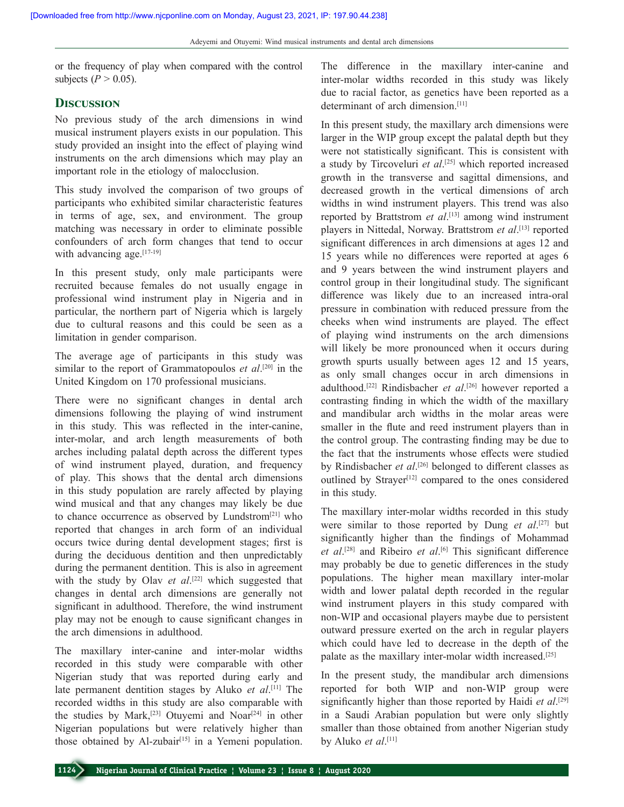or the frequency of play when compared with the control subjects ( $P > 0.05$ ).

## **Discussion**

No previous study of the arch dimensions in wind musical instrument players exists in our population. This study provided an insight into the effect of playing wind instruments on the arch dimensions which may play an important role in the etiology of malocclusion.

This study involved the comparison of two groups of participants who exhibited similar characteristic features in terms of age, sex, and environment. The group matching was necessary in order to eliminate possible confounders of arch form changes that tend to occur with advancing age.<sup>[17-19]</sup>

In this present study, only male participants were recruited because females do not usually engage in professional wind instrument play in Nigeria and in particular, the northern part of Nigeria which is largely due to cultural reasons and this could be seen as a limitation in gender comparison.

The average age of participants in this study was similar to the report of Grammatopoulos *et al*. [20] in the United Kingdom on 170 professional musicians.

There were no significant changes in dental arch dimensions following the playing of wind instrument in this study. This was reflected in the inter-canine, inter-molar, and arch length measurements of both arches including palatal depth across the different types of wind instrument played, duration, and frequency of play. This shows that the dental arch dimensions in this study population are rarely affected by playing wind musical and that any changes may likely be due to chance occurrence as observed by Lundstrom<sup>[21]</sup> who reported that changes in arch form of an individual occurs twice during dental development stages; first is during the deciduous dentition and then unpredictably during the permanent dentition. This is also in agreement with the study by Olav *et al*.<sup>[22]</sup> which suggested that changes in dental arch dimensions are generally not significant in adulthood. Therefore, the wind instrument play may not be enough to cause significant changes in the arch dimensions in adulthood.

The maxillary inter-canine and inter-molar widths recorded in this study were comparable with other Nigerian study that was reported during early and late permanent dentition stages by Aluko *et al*. [11] The recorded widths in this study are also comparable with the studies by Mark,<sup>[23]</sup> Otuyemi and Noar<sup>[24]</sup> in other Nigerian populations but were relatively higher than those obtained by Al-zubair $[15]$  in a Yemeni population.

The difference in the maxillary inter-canine and inter-molar widths recorded in this study was likely due to racial factor, as genetics have been reported as a determinant of arch dimension.<sup>[11]</sup>

In this present study, the maxillary arch dimensions were larger in the WIP group except the palatal depth but they were not statistically significant. This is consistent with a study by Tircoveluri *et al*. [25] which reported increased growth in the transverse and sagittal dimensions, and decreased growth in the vertical dimensions of arch widths in wind instrument players. This trend was also reported by Brattstrom *et al*. [13] among wind instrument players in Nittedal, Norway. Brattstrom *et al*. [13] reported significant differences in arch dimensions at ages 12 and 15 years while no differences were reported at ages 6 and 9 years between the wind instrument players and control group in their longitudinal study. The significant difference was likely due to an increased intra-oral pressure in combination with reduced pressure from the cheeks when wind instruments are played. The effect of playing wind instruments on the arch dimensions will likely be more pronounced when it occurs during growth spurts usually between ages 12 and 15 years, as only small changes occur in arch dimensions in adulthood.[22] Rindisbacher *et al*. [26] however reported a contrasting finding in which the width of the maxillary and mandibular arch widths in the molar areas were smaller in the flute and reed instrument players than in the control group. The contrasting finding may be due to the fact that the instruments whose effects were studied by Rindisbacher *et al*. [26] belonged to different classes as outlined by Strayer<sup>[12]</sup> compared to the ones considered in this study.

The maxillary inter-molar widths recorded in this study were similar to those reported by Dung *et al*. [27] but significantly higher than the findings of Mohammad *et al*. [28] and Ribeiro *et al*. [6] This significant difference may probably be due to genetic differences in the study populations. The higher mean maxillary inter-molar width and lower palatal depth recorded in the regular wind instrument players in this study compared with non‑WIP and occasional players maybe due to persistent outward pressure exerted on the arch in regular players which could have led to decrease in the depth of the palate as the maxillary inter-molar width increased.<sup>[25]</sup>

In the present study, the mandibular arch dimensions reported for both WIP and non‑WIP group were significantly higher than those reported by Haidi *et al*. [29] in a Saudi Arabian population but were only slightly smaller than those obtained from another Nigerian study by Aluko *et al*. [11]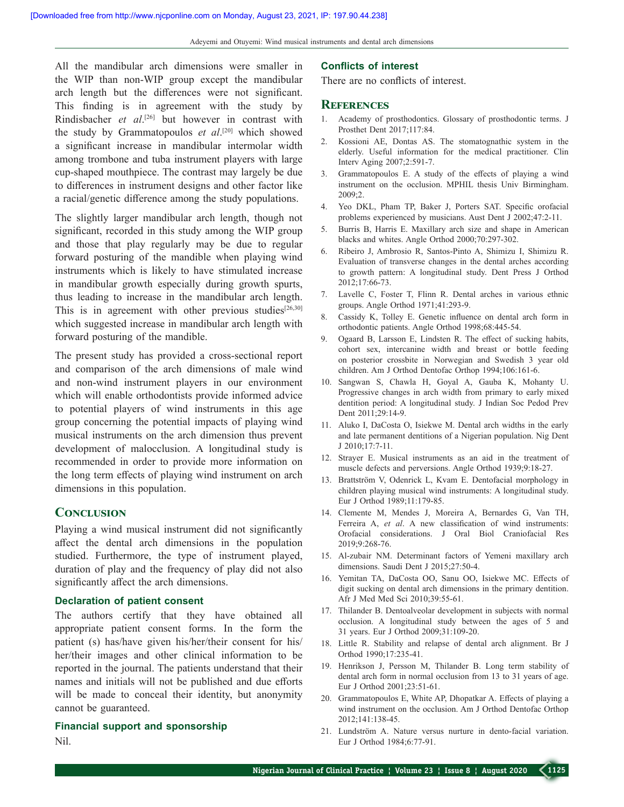Adeyemi and Otuyemi: Wind musical instruments and dental arch dimensions

All the mandibular arch dimensions were smaller in the WIP than non‑WIP group except the mandibular arch length but the differences were not significant. This finding is in agreement with the study by Rindisbacher *et al*. [26] but however in contrast with the study by Grammatopoulos *et al*. [20] which showed a significant increase in mandibular intermolar width among trombone and tuba instrument players with large cup‑shaped mouthpiece. The contrast may largely be due to differences in instrument designs and other factor like a racial/genetic difference among the study populations.

The slightly larger mandibular arch length, though not significant, recorded in this study among the WIP group and those that play regularly may be due to regular forward posturing of the mandible when playing wind instruments which is likely to have stimulated increase in mandibular growth especially during growth spurts, thus leading to increase in the mandibular arch length. This is in agreement with other previous studies $[26,30]$ which suggested increase in mandibular arch length with forward posturing of the mandible.

The present study has provided a cross-sectional report and comparison of the arch dimensions of male wind and non‑wind instrument players in our environment which will enable orthodontists provide informed advice to potential players of wind instruments in this age group concerning the potential impacts of playing wind musical instruments on the arch dimension thus prevent development of malocclusion. A longitudinal study is recommended in order to provide more information on the long term effects of playing wind instrument on arch dimensions in this population.

## **Conclusion**

Playing a wind musical instrument did not significantly affect the dental arch dimensions in the population studied. Furthermore, the type of instrument played, duration of play and the frequency of play did not also significantly affect the arch dimensions.

#### **Declaration of patient consent**

The authors certify that they have obtained all appropriate patient consent forms. In the form the patient (s) has/have given his/her/their consent for his/ her/their images and other clinical information to be reported in the journal. The patients understand that their names and initials will not be published and due efforts will be made to conceal their identity, but anonymity cannot be guaranteed.

**Financial support and sponsorship** Nil.

### **Conflicts of interest**

There are no conflicts of interest.

### **References**

- 1. Academy of prosthodontics. Glossary of prosthodontic terms. J Prosthet Dent 2017;117:84.
- 2. Kossioni AE, Dontas AS. The stomatognathic system in the elderly. Useful information for the medical practitioner. Clin Interv Aging 2007;2:591‑7.
- 3. Grammatopoulos E. A study of the effects of playing a wind instrument on the occlusion. MPHIL thesis Univ Birmingham. 2009;2.
- 4. Yeo DKL, Pham TP, Baker J, Porters SAT. Specific orofacial problems experienced by musicians. Aust Dent J 2002;47:2‑11.
- 5. Burris B, Harris E. Maxillary arch size and shape in American blacks and whites. Angle Orthod 2000;70:297‑302.
- 6. Ribeiro J, Ambrosio R, Santos‑Pinto A, Shimizu I, Shimizu R. Evaluation of transverse changes in the dental arches according to growth pattern: A longitudinal study. Dent Press J Orthod 2012;17:66‑73.
- 7. Lavelle C, Foster T, Flinn R. Dental arches in various ethnic groups. Angle Orthod 1971;41:293‑9.
- 8. Cassidy K, Tolley E. Genetic influence on dental arch form in orthodontic patients. Angle Orthod 1998;68:445‑54.
- 9. Ogaard B, Larsson E, Lindsten R. The effect of sucking habits, cohort sex, intercanine width and breast or bottle feeding on posterior crossbite in Norwegian and Swedish 3 year old children. Am J Orthod Dentofac Orthop 1994;106:161-6.
- 10. Sangwan S, Chawla H, Goyal A, Gauba K, Mohanty U. Progressive changes in arch width from primary to early mixed dentition period: A longitudinal study. J Indian Soc Pedod Prev Dent 2011;29:14‑9.
- 11. Aluko I, DaCosta O, Isiekwe M. Dental arch widths in the early and late permanent dentitions of a Nigerian population. Nig Dent J 2010;17:7‑11.
- 12. Strayer E. Musical instruments as an aid in the treatment of muscle defects and perversions. Angle Orthod 1939;9:18-27.
- 13. Brattström V, Odenrick L, Kvam E. Dentofacial morphology in children playing musical wind instruments: A longitudinal study. Eur J Orthod 1989;11:179‑85.
- 14. Clemente M, Mendes J, Moreira A, Bernardes G, Van TH, Ferreira A, *et al*. A new classification of wind instruments: Orofacial considerations. J Oral Biol Craniofacial Res 2019;9:268‑76.
- 15. Al-zubair NM. Determinant factors of Yemeni maxillary arch dimensions. Saudi Dent J 2015;27:50-4.
- 16. Yemitan TA, DaCosta OO, Sanu OO, Isiekwe MC. Effects of digit sucking on dental arch dimensions in the primary dentition. Afr J Med Med Sci 2010;39:55‑61.
- 17. Thilander B. Dentoalveolar development in subjects with normal occlusion. A longitudinal study between the ages of 5 and 31 years. Eur J Orthod 2009;31:109‑20.
- 18. Little R. Stability and relapse of dental arch alignment. Br J Orthod 1990;17:235‑41.
- 19. Henrikson J, Persson M, Thilander B. Long term stability of dental arch form in normal occlusion from 13 to 31 years of age. Eur J Orthod 2001;23:51‑61.
- 20. Grammatopoulos E, White AP, Dhopatkar A. Effects of playing a wind instrument on the occlusion. Am J Orthod Dentofac Orthop 2012;141:138‑45.
- 21. Lundström A. Nature versus nurture in dento-facial variation. Eur J Orthod 1984;6:77‑91.